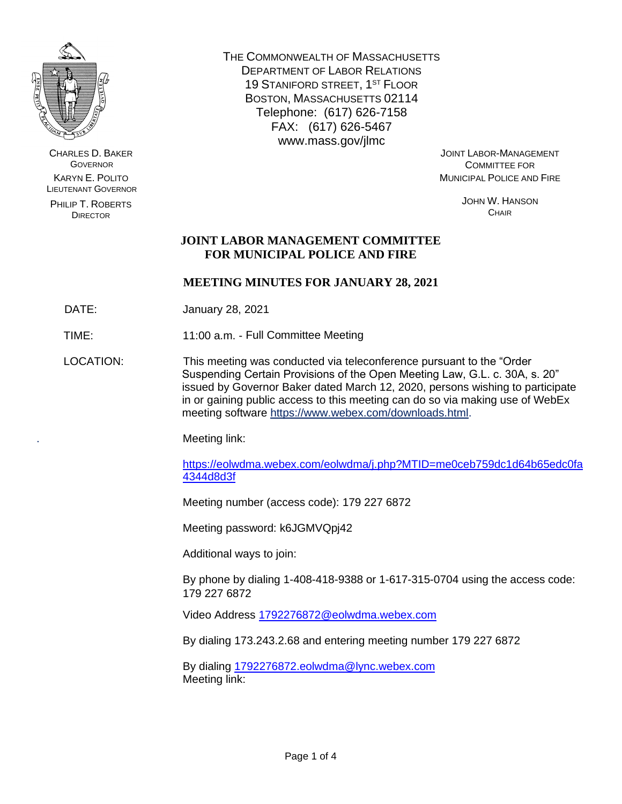

CHARLES D. BAKER **GOVERNOR** KARYN E. POLITO LIEUTENANT GOVERNOR

PHILIP T. ROBERTS DIRECTOR

THE COMMONWEALTH OF MASSACHUSETTS DEPARTMENT OF LABOR RELATIONS 19 STANIFORD STREET, 1ST FLOOR BOSTON, MASSACHUSETTS 02114 Telephone: (617) 626-7158 FAX: (617) 626-5467 www.mass.gov/jlmc

JOINT LABOR-MANAGEMENT COMMITTEE FOR MUNICIPAL POLICE AND FIRE

> JOHN W. HANSON **CHAIR**

# **JOINT LABOR MANAGEMENT COMMITTEE FOR MUNICIPAL POLICE AND FIRE**

# **MEETING MINUTES FOR JANUARY 28, 2021**

DATE: January 28, 2021

TIME: 11:00 a.m. - Full Committee Meeting

LOCATION: This meeting was conducted via teleconference pursuant to the "Order Suspending Certain Provisions of the Open Meeting Law, G.L. c. 30A, s. 20" issued by Governor Baker dated March 12, 2020, persons wishing to participate in or gaining public access to this meeting can do so via making use of WebEx meeting software [https://www.webex.com/downloads.html.](https://www.webex.com/downloads.html)

. Meeting link:

[https://eolwdma.webex.com/eolwdma/j.php?MTID=me0ceb759dc1d64b65edc0fa](https://eolwdma.webex.com/eolwdma/j.php?MTID=me0ceb759dc1d64b65edc0fa4344d8d3f) [4344d8d3f](https://eolwdma.webex.com/eolwdma/j.php?MTID=me0ceb759dc1d64b65edc0fa4344d8d3f)

Meeting number (access code): 179 227 6872

Meeting password: k6JGMVQpj42

Additional ways to join:

By phone by dialing 1-408-418-9388 or 1-617-315-0704 using the access code: 179 227 6872

Video Address [1792276872@eolwdma.webex.com](mailto:1792276872@eolwdma.webex.com)

By dialing 173.243.2.68 and entering meeting number 179 227 6872

By dialing [1792276872.eolwdma@lync.webex.com](mailto:1796141987.eolwdma@lync.webex.com) Meeting link: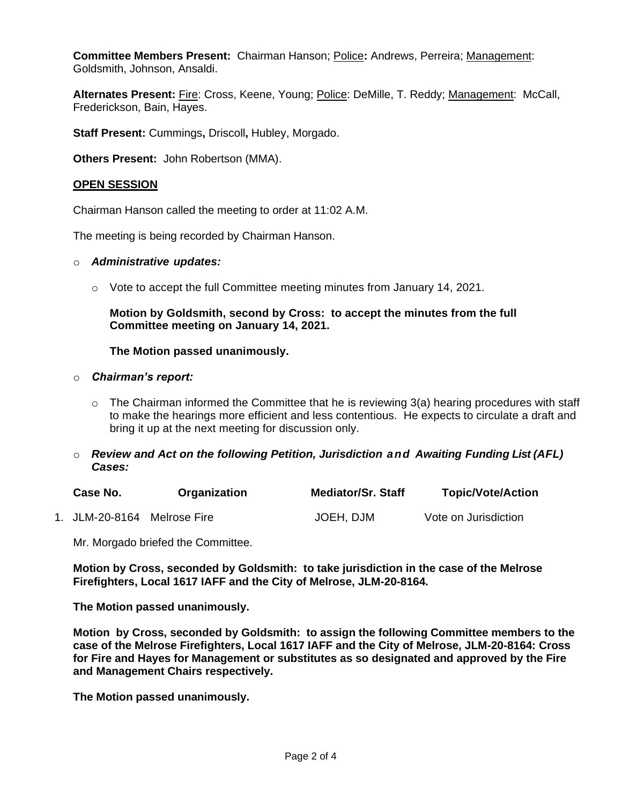**Committee Members Present:** Chairman Hanson; Police**:** Andrews, Perreira; Management: Goldsmith, Johnson, Ansaldi.

Alternates Present: Fire: Cross, Keene, Young; Police: DeMille, T. Reddy; Management: McCall, Frederickson, Bain, Hayes.

**Staff Present:** Cummings**,** Driscoll**,** Hubley, Morgado.

**Others Present:** John Robertson (MMA).

### **OPEN SESSION**

Chairman Hanson called the meeting to order at 11:02 A.M.

The meeting is being recorded by Chairman Hanson.

#### o *Administrative updates:*

 $\circ$  Vote to accept the full Committee meeting minutes from January 14, 2021.

### **Motion by Goldsmith, second by Cross: to accept the minutes from the full Committee meeting on January 14, 2021.**

#### **The Motion passed unanimously.**

#### o *Chairman's report:*

- $\circ$  The Chairman informed the Committee that he is reviewing 3(a) hearing procedures with staff to make the hearings more efficient and less contentious. He expects to circulate a draft and bring it up at the next meeting for discussion only.
- o *Review and Act on the following Petition, Jurisdiction and Awaiting Funding List (AFL) Cases:*

| Case No.                    | Organization | <b>Mediator/Sr. Staff</b> | <b>Topic/Vote/Action</b> |
|-----------------------------|--------------|---------------------------|--------------------------|
| 1. JLM-20-8164 Melrose Fire |              | JOEH, DJM                 | Vote on Jurisdiction     |

Mr. Morgado briefed the Committee.

**Motion by Cross, seconded by Goldsmith: to take jurisdiction in the case of the Melrose Firefighters, Local 1617 IAFF and the City of Melrose, JLM-20-8164.**

**The Motion passed unanimously.**

**Motion by Cross, seconded by Goldsmith: to assign the following Committee members to the case of the Melrose Firefighters, Local 1617 IAFF and the City of Melrose, JLM-20-8164: Cross for Fire and Hayes for Management or substitutes as so designated and approved by the Fire and Management Chairs respectively.** 

**The Motion passed unanimously.**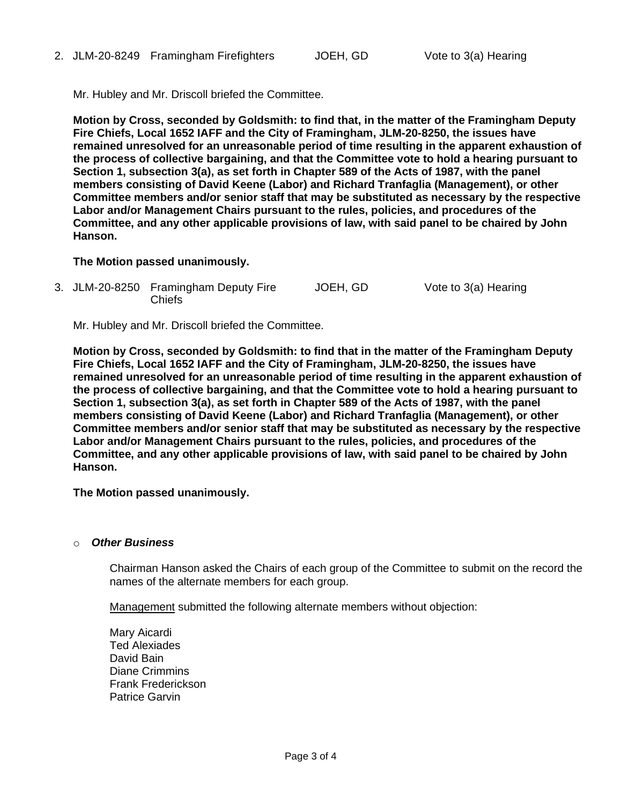Mr. Hubley and Mr. Driscoll briefed the Committee.

**Motion by Cross, seconded by Goldsmith: to find that, in the matter of the Framingham Deputy Fire Chiefs, Local 1652 IAFF and the City of Framingham, JLM-20-8250, the issues have remained unresolved for an unreasonable period of time resulting in the apparent exhaustion of the process of collective bargaining, and that the Committee vote to hold a hearing pursuant to Section 1, subsection 3(a), as set forth in Chapter 589 of the Acts of 1987, with the panel members consisting of David Keene (Labor) and Richard Tranfaglia (Management), or other Committee members and/or senior staff that may be substituted as necessary by the respective Labor and/or Management Chairs pursuant to the rules, policies, and procedures of the Committee, and any other applicable provisions of law, with said panel to be chaired by John Hanson.**

### **The Motion passed unanimously.**

3. JLM-20-8250 Framingham Deputy Fire Chiefs JOEH, GD Vote to 3(a) Hearing

Mr. Hubley and Mr. Driscoll briefed the Committee.

**Motion by Cross, seconded by Goldsmith: to find that in the matter of the Framingham Deputy Fire Chiefs, Local 1652 IAFF and the City of Framingham, JLM-20-8250, the issues have remained unresolved for an unreasonable period of time resulting in the apparent exhaustion of the process of collective bargaining, and that the Committee vote to hold a hearing pursuant to Section 1, subsection 3(a), as set forth in Chapter 589 of the Acts of 1987, with the panel members consisting of David Keene (Labor) and Richard Tranfaglia (Management), or other Committee members and/or senior staff that may be substituted as necessary by the respective Labor and/or Management Chairs pursuant to the rules, policies, and procedures of the Committee, and any other applicable provisions of law, with said panel to be chaired by John Hanson.**

**The Motion passed unanimously.**

#### **Other Business**

Chairman Hanson asked the Chairs of each group of the Committee to submit on the record the names of the alternate members for each group.

Management submitted the following alternate members without objection:

Mary Aicardi Ted Alexiades David Bain Diane Crimmins Frank Frederickson Patrice Garvin